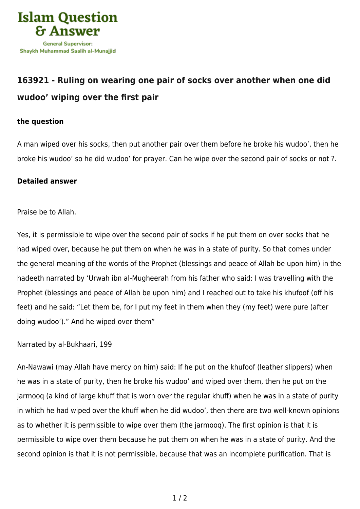

## **[163921 - Ruling on wearing one pair of socks over another when one did](https://islamqa.com/en/answers/163921/ruling-on-wearing-one-pair-of-socks-over-another-when-one-did-wudoo-wiping-over-the-first-pair) [wudoo' wiping over the first pair](https://islamqa.com/en/answers/163921/ruling-on-wearing-one-pair-of-socks-over-another-when-one-did-wudoo-wiping-over-the-first-pair)**

## **the question**

A man wiped over his socks, then put another pair over them before he broke his wudoo', then he broke his wudoo' so he did wudoo' for prayer. Can he wipe over the second pair of socks or not ?.

## **Detailed answer**

Praise be to Allah.

Yes, it is permissible to wipe over the second pair of socks if he put them on over socks that he had wiped over, because he put them on when he was in a state of purity. So that comes under the general meaning of the words of the Prophet (blessings and peace of Allah be upon him) in the hadeeth narrated by 'Urwah ibn al-Mugheerah from his father who said: I was travelling with the Prophet (blessings and peace of Allah be upon him) and I reached out to take his khufoof (off his feet) and he said: "Let them be, for I put my feet in them when they (my feet) were pure (after doing wudoo')." And he wiped over them"

Narrated by al-Bukhaari, 199

An-Nawawi (may Allah have mercy on him) said: If he put on the khufoof (leather slippers) when he was in a state of purity, then he broke his wudoo' and wiped over them, then he put on the jarmooq (a kind of large khuff that is worn over the regular khuff) when he was in a state of purity in which he had wiped over the khuff when he did wudoo', then there are two well-known opinions as to whether it is permissible to wipe over them (the jarmooq). The first opinion is that it is permissible to wipe over them because he put them on when he was in a state of purity. And the second opinion is that it is not permissible, because that was an incomplete purification. That is